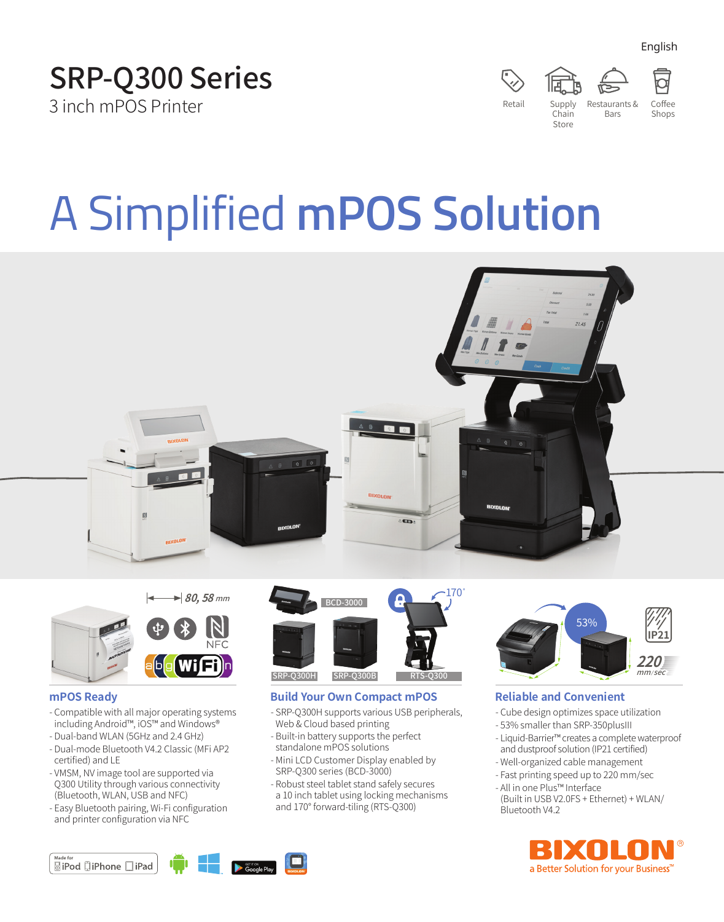English





Shops

# A Simplified **mPOS Solution**







# **mPOS Ready**

- Compatible with all major operating systems including Android™, iOS™ and Windows®
- Dual-band WLAN (5GHz and 2.4 GHz)
- Dual-mode Bluetooth V4.2 Classic (MFi AP2 certified) and LE
- VMSM, NV image tool are supported via Q300 Utility through various connectivity (Bluetooth, WLAN, USB and NFC)
- Easy Bluetooth pairing, Wi-Fi configuration and printer configuration via NFC



# **Build Your Own Compact mPOS**

- SRP-Q300H supports various USB peripherals, Web & Cloud based printing
- Built-in battery supports the perfect standalone mPOS solutions
- Mini LCD Customer Display enabled by SRP-Q300 series (BCD-3000)
- Robust steel tablet stand safely secures a 10 inch tablet using locking mechanisms and 170° forward-tiling (RTS-Q300)



# **Reliable and Convenient**

- Cube design optimizes space utilization
- 53% smaller than SRP-350plusIII
- Liquid-Barrier™ creates a complete waterproof and dustproof solution (IP21 certified)
- Well-organized cable management - Fast printing speed up to 220 mm/sec
- All in one Plus™ Interface
- (Built in USB V2.0FS + Ethernet) + WLAN/ Bluetooth V4.2



**SiPod DiPhone** DiPad

**SET IT ON**<br>**Google Play**